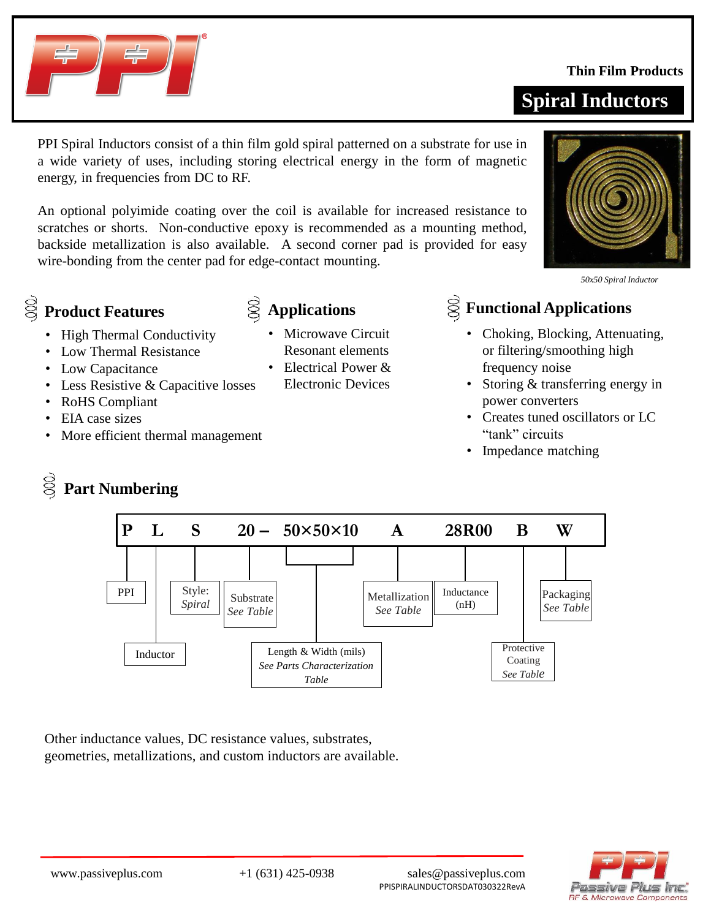

# **Product Features**

- High Thermal Conductivity
- Low Thermal Resistance
- Low Capacitance
- Less Resistive & Capacitive losses

energy, in frequencies from DC to RF.

- RoHS Compliant
- EIA case sizes
- More efficient thermal management

# **Part Numbering**

#### www.passiveplus.com +1 (631) 425-0938 sales@passiveplus.com PPISPIRALINDUCTORSDAT030322RevA

**Spiral Inductors**



*50x50 Spiral Inductor*

### **Applications Functional Applications**

- Choking, Blocking, Attenuating, or filtering/smoothing high frequency noise
- Storing & transferring energy in power converters
- Creates tuned oscillators or LC "tank" circuits
- Impedance matching



• Microwave Circuit Resonant elements • Electrical Power & Electronic Devices

scratches or shorts. Non-conductive epoxy is recommended as a mounting method, backside metallization is also available. A second corner pad is provided for easy

Other inductance values, DC resistance values, substrates, geometries, metallizations, and custom inductors are available.





**Thin Film Products**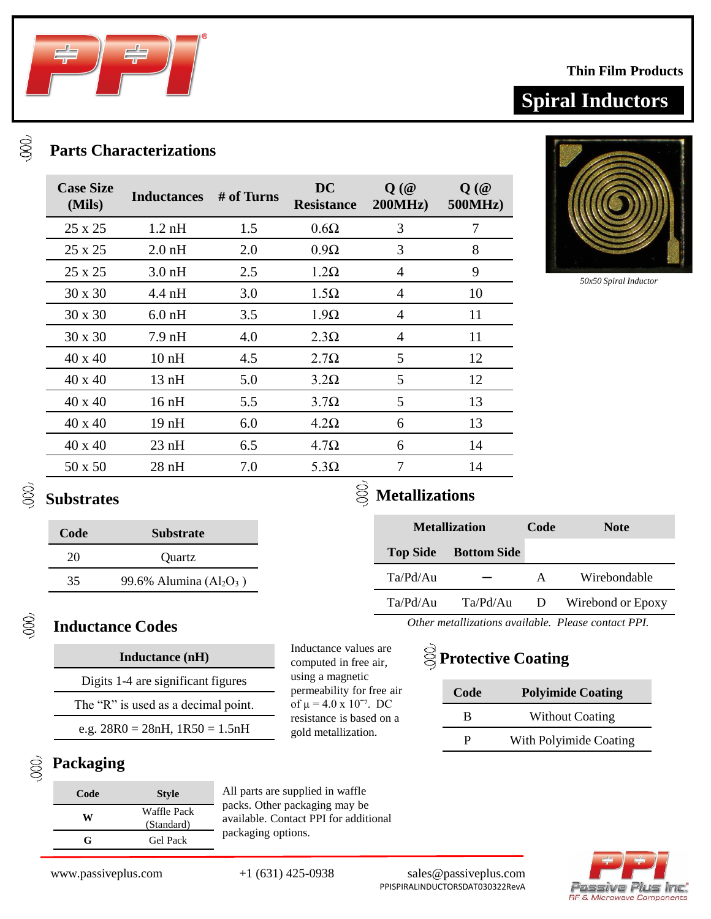

### **Parts Characterizations**

| <b>Case Size</b><br>(Mils) | <b>Inductances</b> | # of Turns | <b>DC</b><br><b>Resistance</b> | $Q(\omega)$<br>200MHz | $Q(\omega)$<br><b>500MHz</b> ) |
|----------------------------|--------------------|------------|--------------------------------|-----------------------|--------------------------------|
| 25 x 25                    | $1.2 \text{ nH}$   | 1.5        | $0.6\Omega$                    | 3                     | 7                              |
| 25 x 25                    | $2.0$ nH           | 2.0        | $0.9\Omega$                    | 3                     | 8                              |
| 25 x 25                    | $3.0 \text{ nH}$   | 2.5        | $1.2\Omega$                    | $\overline{4}$        | 9                              |
| $30 \times 30$             | $4.4 \text{ nH}$   | 3.0        | $1.5\Omega$                    | $\overline{4}$        | 10                             |
| $30 \times 30$             | $6.0$ nH           | 3.5        | $1.9\Omega$                    | 4                     | 11                             |
| $30 \times 30$             | 7.9 nH             | 4.0        | $2.3\Omega$                    | $\overline{4}$        | 11                             |
| 40 x 40                    | 10nH               | 4.5        | $2.7\Omega$                    | 5                     | 12                             |
| 40 x 40                    | 13nH               | 5.0        | $3.2\Omega$                    | 5                     | 12                             |
| 40 x 40                    | $16\,\mathrm{nH}$  | 5.5        | $3.7\Omega$                    | 5                     | 13                             |
| 40 x 40                    | 19nH               | 6.0        | $4.2\Omega$                    | 6                     | 13                             |
| 40 x 40                    | $23$ nH            | 6.5        | $4.7\Omega$                    | 6                     | 14                             |
| 50 x 50                    | $28$ nH            | 7.0        | $5.3\Omega$                    | 7                     | 14                             |



*50x50 Spiral Inductor*

#### $\mathbb{Q}$ **Substrates**

 $\gamma$ 

### **Code Substrate** 20 Quartz 35 99.6% Alumina  $(Al_2O_3)$

## $\gamma$

QQQ

### **Inductance Codes**

### **Inductance (nH)**

|  |  | Digits 1-4 are significant figures |
|--|--|------------------------------------|
|  |  |                                    |

The "R" is used as a decimal point.

e.g.  $28R0 = 28nH$ ,  $1R50 = 1.5nH$ 

### **Packaging**

| Code | <b>Style</b>              |  |  |
|------|---------------------------|--|--|
| W    | Waffle Pack<br>(Standard) |  |  |
| G    | Gel Pack                  |  |  |

All parts are supplied in waffle packs. Other packaging may be available. Contact PPI for additional packaging options.

Inductance values are computed in free air, using a magnetic permeability for free air of  $\mu = 4.0 \text{ x } 10^{-7}$ . DC resistance is based on a gold metallization.

**Metallizations**

| <b>Metallization</b> |                             | Code         | <b>Note</b>                                        |
|----------------------|-----------------------------|--------------|----------------------------------------------------|
|                      | <b>Top Side Bottom Side</b> |              |                                                    |
| Ta/Pd/Au             |                             | $\mathsf{A}$ | Wirebondable                                       |
| Ta/Pd/Au             | Ta/Pd/Au                    | D            | Wirebond or Epoxy                                  |
|                      |                             |              | Other metallizations quailable. Please contact PPI |

*metallizations available. Please contact PPI.* 

# **Protective Coating**

| Code | <b>Polyimide Coating</b> |
|------|--------------------------|
| R    | <b>Without Coating</b>   |
| р    | With Polyimide Coating   |



www.passiveplus.com +1 (631) 425-0938 sales@passiveplus.com PPISPIRALINDUCTORSDAT030322RevA